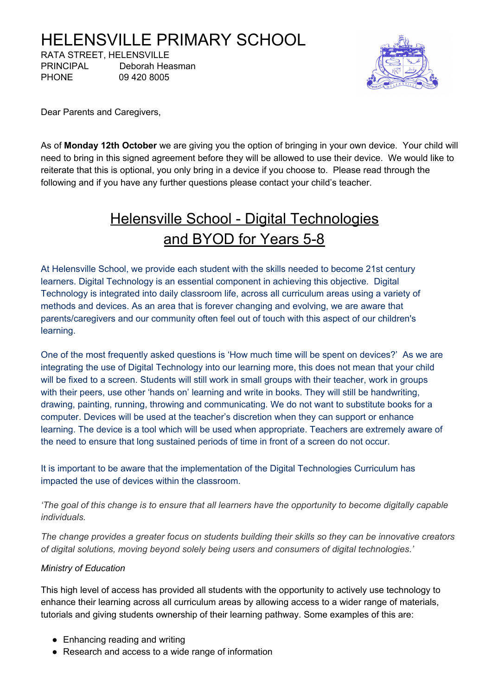# HELENSVILLE PRIMARY SCHOOL

RATA STREET, HELENSVILLE PRINCIPAL Deborah Heasman PHONE 09 420 8005



Dear Parents and Caregivers,

As of **Monday 12th October** we are giving you the option of bringing in your own device. Your child will need to bring in this signed agreement before they will be allowed to use their device. We would like to reiterate that this is optional, you only bring in a device if you choose to. Please read through the following and if you have any further questions please contact your child's teacher.

# Helensville School - Digital Technologies and BYOD for Years 5-8

At Helensville School, we provide each student with the skills needed to become 21st century learners. Digital Technology is an essential component in achieving this objective. Digital Technology is integrated into daily classroom life, across all curriculum areas using a variety of methods and devices. As an area that is forever changing and evolving, we are aware that parents/caregivers and our community often feel out of touch with this aspect of our children's learning.

One of the most frequently asked questions is 'How much time will be spent on devices?' As we are integrating the use of Digital Technology into our learning more, this does not mean that your child will be fixed to a screen. Students will still work in small groups with their teacher, work in groups with their peers, use other 'hands on' learning and write in books. They will still be handwriting, drawing, painting, running, throwing and communicating. We do not want to substitute books for a computer. Devices will be used at the teacher's discretion when they can support or enhance learning. The device is a tool which will be used when appropriate. Teachers are extremely aware of the need to ensure that long sustained periods of time in front of a screen do not occur.

It is important to be aware that the implementation of the Digital Technologies Curriculum has impacted the use of devices within the classroom.

The goal of this change is to ensure that all learners have the opportunity to become digitally capable *individuals.*

*The change provides a greater focus on students building their skills so they can be innovative creators of digital solutions, moving beyond solely being users and consumers of digital technologies.'*

#### *Ministry of Education*

This high level of access has provided all students with the opportunity to actively use technology to enhance their learning across all curriculum areas by allowing access to a wider range of materials, tutorials and giving students ownership of their learning pathway. Some examples of this are:

- Enhancing reading and writing
- Research and access to a wide range of information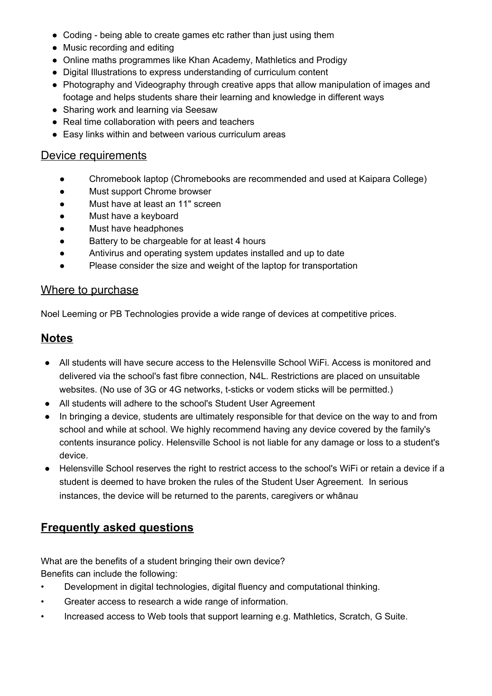- Coding being able to create games etc rather than just using them
- Music recording and editing
- Online maths programmes like Khan Academy, Mathletics and Prodigy
- Digital Illustrations to express understanding of curriculum content
- Photography and Videography through creative apps that allow manipulation of images and footage and helps students share their learning and knowledge in different ways
- Sharing work and learning via Seesaw
- Real time collaboration with peers and teachers
- Easy links within and between various curriculum areas

#### Device requirements

- Chromebook laptop (Chromebooks are recommended and used at Kaipara College)
- Must support Chrome browser
- Must have at least an 11" screen
- Must have a keyboard
- Must have headphones
- Battery to be chargeable for at least 4 hours
- Antivirus and operating system updates installed and up to date
- Please consider the size and weight of the laptop for transportation

#### Where to purchase

Noel Leeming or PB Technologies provide a wide range of devices at competitive prices.

# **Notes**

- All students will have secure access to the Helensville School WiFi. Access is monitored and delivered via the school's fast fibre connection, N4L. Restrictions are placed on unsuitable websites. (No use of 3G or 4G networks, t-sticks or vodem sticks will be permitted.)
- All students will adhere to the school's Student User Agreement
- In bringing a device, students are ultimately responsible for that device on the way to and from school and while at school. We highly recommend having any device covered by the family's contents insurance policy. Helensville School is not liable for any damage or loss to a student's device.
- Helensville School reserves the right to restrict access to the school's WiFi or retain a device if a student is deemed to have broken the rules of the Student User Agreement. In serious instances, the device will be returned to the parents, caregivers or whānau

# **Frequently asked questions**

What are the benefits of a student bringing their own device? Benefits can include the following:

- Development in digital technologies, digital fluency and computational thinking.
- Greater access to research a wide range of information.
- Increased access to Web tools that support learning e.g. Mathletics, Scratch, G Suite.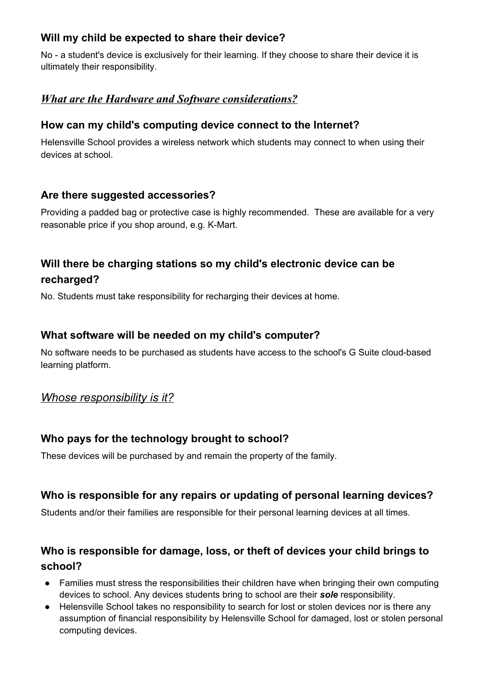# **Will my child be expected to share their device?**

No - a student's device is exclusively for their learning. If they choose to share their device it is ultimately their responsibility.

# *What are the Hardware and Software considerations?*

#### **How can my child's computing device connect to the Internet?**

Helensville School provides a wireless network which students may connect to when using their devices at school.

## **Are there suggested accessories?**

Providing a padded bag or protective case is highly recommended. These are available for a very reasonable price if you shop around, e.g. K-Mart.

# **Will there be charging stations so my child's electronic device can be recharged?**

No. Students must take responsibility for recharging their devices at home.

## **What software will be needed on my child's computer?**

No software needs to be purchased as students have access to the school's G Suite cloud-based learning platform.

#### *Whose responsibility is it?*

## **Who pays for the technology brought to school?**

These devices will be purchased by and remain the property of the family.

## **Who is responsible for any repairs or updating of personal learning devices?**

Students and/or their families are responsible for their personal learning devices at all times.

# **Who is responsible for damage, loss, or theft of devices your child brings to school?**

- Families must stress the responsibilities their children have when bringing their own computing devices to school. Any devices students bring to school are their *sole* responsibility.
- Helensville School takes no responsibility to search for lost or stolen devices nor is there any assumption of financial responsibility by Helensville School for damaged, lost or stolen personal computing devices.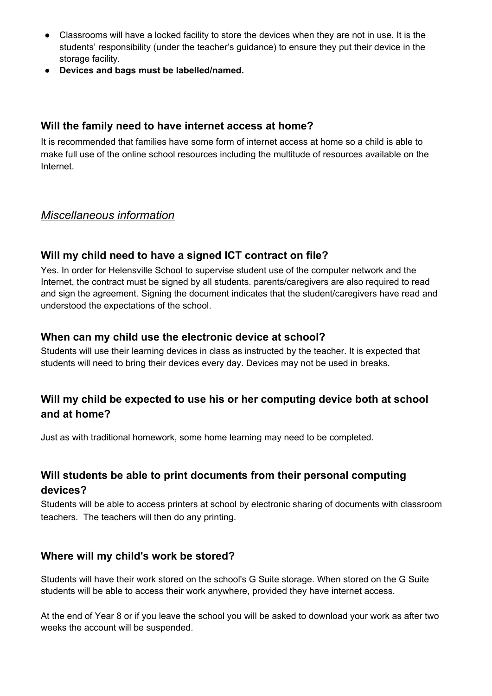- Classrooms will have a locked facility to store the devices when they are not in use. It is the students' responsibility (under the teacher's guidance) to ensure they put their device in the storage facility.
- **● Devices and bags must be labelled/named.**

#### **Will the family need to have internet access at home?**

It is recommended that families have some form of internet access at home so a child is able to make full use of the online school resources including the multitude of resources available on the Internet.

# *Miscellaneous information*

## **Will my child need to have a signed ICT contract on file?**

Yes. In order for Helensville School to supervise student use of the computer network and the Internet, the contract must be signed by all students. parents/caregivers are also required to read and sign the agreement. Signing the document indicates that the student/caregivers have read and understood the expectations of the school.

#### **When can my child use the electronic device at school?**

Students will use their learning devices in class as instructed by the teacher. It is expected that students will need to bring their devices every day. Devices may not be used in breaks.

# **Will my child be expected to use his or her computing device both at school and at home?**

Just as with traditional homework, some home learning may need to be completed.

## **Will students be able to print documents from their personal computing devices?**

Students will be able to access printers at school by electronic sharing of documents with classroom teachers. The teachers will then do any printing.

#### **Where will my child's work be stored?**

Students will have their work stored on the school's G Suite storage. When stored on the G Suite students will be able to access their work anywhere, provided they have internet access.

At the end of Year 8 or if you leave the school you will be asked to download your work as after two weeks the account will be suspended.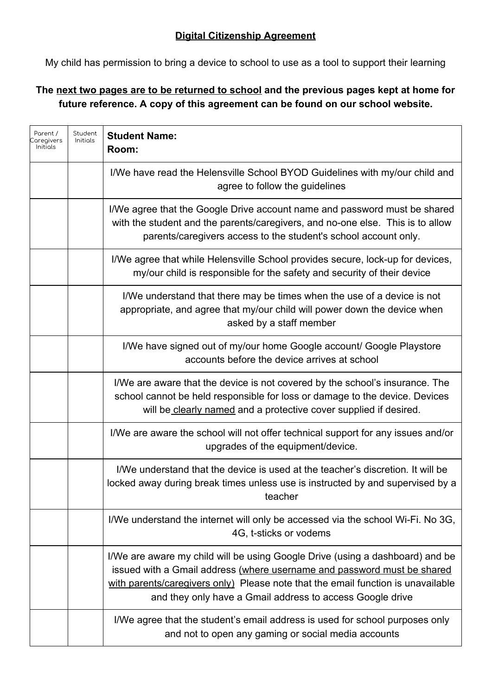My child has permission to bring a device to school to use as a tool to support their learning

# **The next two pages are to be returned to school and the previous pages kept at home for future reference. A copy of this agreement can be found on our school website.**

| Parent /<br>aregivers<br>Initials | Student<br>Initials | <b>Student Name:</b><br>Room:                                                                                                                                                                                                                                                                             |
|-----------------------------------|---------------------|-----------------------------------------------------------------------------------------------------------------------------------------------------------------------------------------------------------------------------------------------------------------------------------------------------------|
|                                   |                     | I/We have read the Helensville School BYOD Guidelines with my/our child and<br>agree to follow the guidelines                                                                                                                                                                                             |
|                                   |                     | I/We agree that the Google Drive account name and password must be shared<br>with the student and the parents/caregivers, and no-one else. This is to allow<br>parents/caregivers access to the student's school account only.                                                                            |
|                                   |                     | I/We agree that while Helensville School provides secure, lock-up for devices,<br>my/our child is responsible for the safety and security of their device                                                                                                                                                 |
|                                   |                     | I/We understand that there may be times when the use of a device is not<br>appropriate, and agree that my/our child will power down the device when<br>asked by a staff member                                                                                                                            |
|                                   |                     | I/We have signed out of my/our home Google account/ Google Playstore<br>accounts before the device arrives at school                                                                                                                                                                                      |
|                                   |                     | I/We are aware that the device is not covered by the school's insurance. The<br>school cannot be held responsible for loss or damage to the device. Devices<br>will be clearly named and a protective cover supplied if desired.                                                                          |
|                                   |                     | I/We are aware the school will not offer technical support for any issues and/or<br>upgrades of the equipment/device.                                                                                                                                                                                     |
|                                   |                     | I/We understand that the device is used at the teacher's discretion. It will be<br>locked away during break times unless use is instructed by and supervised by a<br>teacher                                                                                                                              |
|                                   |                     | I/We understand the internet will only be accessed via the school Wi-Fi. No 3G,<br>4G, t-sticks or vodems                                                                                                                                                                                                 |
|                                   |                     | I/We are aware my child will be using Google Drive (using a dashboard) and be<br>issued with a Gmail address (where username and password must be shared<br>with parents/caregivers only) Please note that the email function is unavailable<br>and they only have a Gmail address to access Google drive |
|                                   |                     | I/We agree that the student's email address is used for school purposes only<br>and not to open any gaming or social media accounts                                                                                                                                                                       |